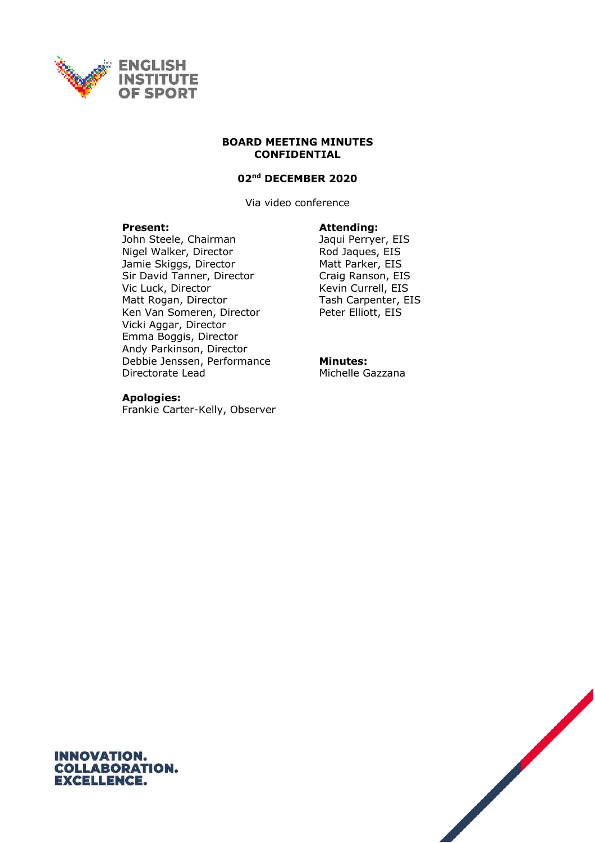

#### **BOARD MEETING MINUTES CONFIDENTIAL**

#### **02nd DECEMBER 2020**

Via video conference

#### **Present: Attending:**

John Steele, Chairman Jaqui Perryer, EIS Nigel Walker, Director Rod Jaques, EIS Jamie Skiggs, Director Matt Parker, EIS Sir David Tanner, Director Craig Ranson, EIS Vic Luck, Director Kevin Currell, EIS Matt Rogan, Director Tash Carpenter, EIS Ken Van Someren, Director Peter Elliott, EIS Vicki Aggar, Director Emma Boggis, Director Andy Parkinson, Director Debbie Jenssen, Performance Directorate Lead

#### **Apologies:**

Frankie Carter-Kelly, Observer

#### **Minutes:** Michelle Gazzana

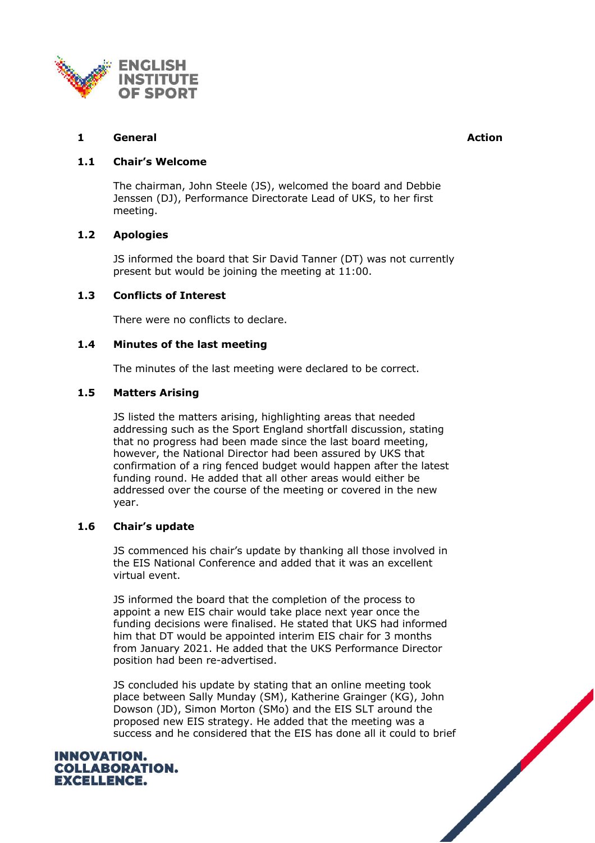

# **1 General Action**

# **1.1 Chair's Welcome**

The chairman, John Steele (JS), welcomed the board and Debbie Jenssen (DJ), Performance Directorate Lead of UKS, to her first meeting.

# **1.2 Apologies**

JS informed the board that Sir David Tanner (DT) was not currently present but would be joining the meeting at 11:00.

## **1.3 Conflicts of Interest**

There were no conflicts to declare.

## **1.4 Minutes of the last meeting**

The minutes of the last meeting were declared to be correct.

## **1.5 Matters Arising**

JS listed the matters arising, highlighting areas that needed addressing such as the Sport England shortfall discussion, stating that no progress had been made since the last board meeting, however, the National Director had been assured by UKS that confirmation of a ring fenced budget would happen after the latest funding round. He added that all other areas would either be addressed over the course of the meeting or covered in the new year.

#### **1.6 Chair's update**

JS commenced his chair's update by thanking all those involved in the EIS National Conference and added that it was an excellent virtual event.

JS informed the board that the completion of the process to appoint a new EIS chair would take place next year once the funding decisions were finalised. He stated that UKS had informed him that DT would be appointed interim EIS chair for 3 months from January 2021. He added that the UKS Performance Director position had been re-advertised.

JS concluded his update by stating that an online meeting took place between Sally Munday (SM), Katherine Grainger (KG), John Dowson (JD), Simon Morton (SMo) and the EIS SLT around the proposed new EIS strategy. He added that the meeting was a success and he considered that the EIS has done all it could to brief



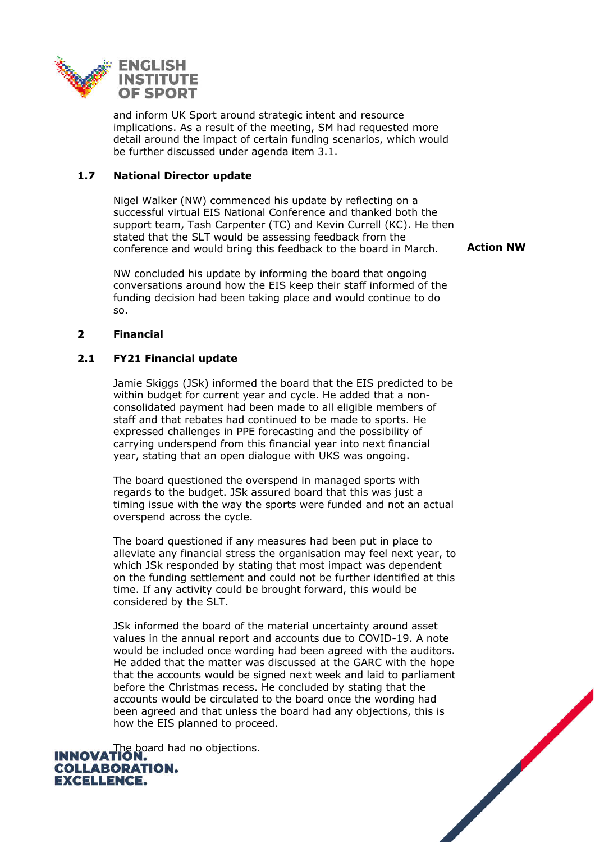

and inform UK Sport around strategic intent and resource implications. As a result of the meeting, SM had requested more detail around the impact of certain funding scenarios, which would be further discussed under agenda item 3.1.

## **1.7 National Director update**

Nigel Walker (NW) commenced his update by reflecting on a successful virtual EIS National Conference and thanked both the support team, Tash Carpenter (TC) and Kevin Currell (KC). He then stated that the SLT would be assessing feedback from the conference and would bring this feedback to the board in March.

NW concluded his update by informing the board that ongoing conversations around how the EIS keep their staff informed of the funding decision had been taking place and would continue to do so.

#### **2 Financial**

## **2.1 FY21 Financial update**

Jamie Skiggs (JSk) informed the board that the EIS predicted to be within budget for current year and cycle. He added that a nonconsolidated payment had been made to all eligible members of staff and that rebates had continued to be made to sports. He expressed challenges in PPE forecasting and the possibility of carrying underspend from this financial year into next financial year, stating that an open dialogue with UKS was ongoing.

The board questioned the overspend in managed sports with regards to the budget. JSk assured board that this was just a timing issue with the way the sports were funded and not an actual overspend across the cycle.

The board questioned if any measures had been put in place to alleviate any financial stress the organisation may feel next year, to which JSk responded by stating that most impact was dependent on the funding settlement and could not be further identified at this time. If any activity could be brought forward, this would be considered by the SLT.

JSk informed the board of the material uncertainty around asset values in the annual report and accounts due to COVID-19. A note would be included once wording had been agreed with the auditors. He added that the matter was discussed at the GARC with the hope that the accounts would be signed next week and laid to parliament before the Christmas recess. He concluded by stating that the accounts would be circulated to the board once the wording had been agreed and that unless the board had any objections, this is how the EIS planned to proceed.

**INNOVATION: COLLABORATION. EXCELLENCE.** 

**Action NW**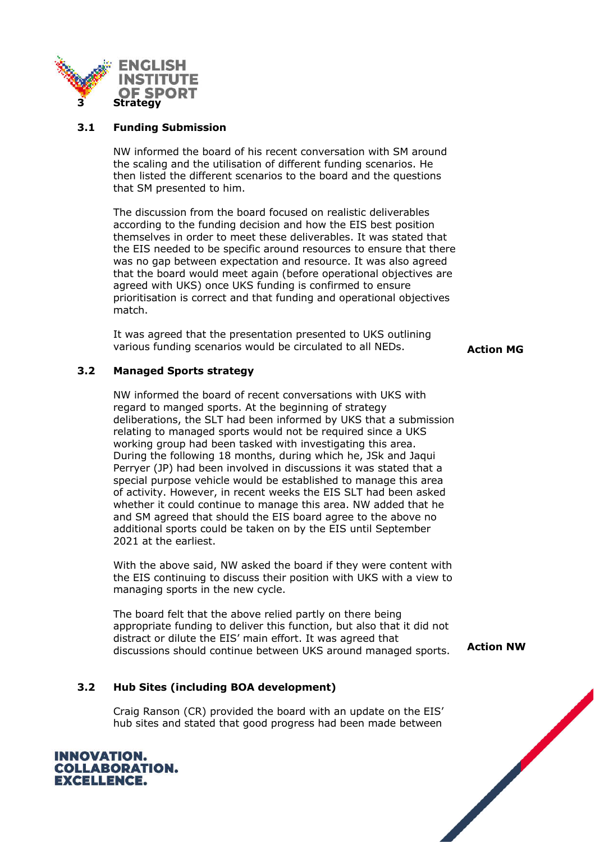

## **3.1 Funding Submission**

NW informed the board of his recent conversation with SM around the scaling and the utilisation of different funding scenarios. He then listed the different scenarios to the board and the questions that SM presented to him.

The discussion from the board focused on realistic deliverables according to the funding decision and how the EIS best position themselves in order to meet these deliverables. It was stated that the EIS needed to be specific around resources to ensure that there was no gap between expectation and resource. It was also agreed that the board would meet again (before operational objectives are agreed with UKS) once UKS funding is confirmed to ensure prioritisation is correct and that funding and operational objectives match.

It was agreed that the presentation presented to UKS outlining various funding scenarios would be circulated to all NEDs. **Action MG** 

# **3.2 Managed Sports strategy**

NW informed the board of recent conversations with UKS with regard to manged sports. At the beginning of strategy deliberations, the SLT had been informed by UKS that a submission relating to managed sports would not be required since a UKS working group had been tasked with investigating this area. During the following 18 months, during which he, JSk and Jaqui Perryer (JP) had been involved in discussions it was stated that a special purpose vehicle would be established to manage this area of activity. However, in recent weeks the EIS SLT had been asked whether it could continue to manage this area. NW added that he and SM agreed that should the EIS board agree to the above no additional sports could be taken on by the EIS until September 2021 at the earliest.

With the above said, NW asked the board if they were content with the EIS continuing to discuss their position with UKS with a view to managing sports in the new cycle.

The board felt that the above relied partly on there being appropriate funding to deliver this function, but also that it did not distract or dilute the EIS' main effort. It was agreed that discussions should continue between UKS around managed sports. **Action NW**

# **3.2 Hub Sites (including BOA development)**

Craig Ranson (CR) provided the board with an update on the EIS' hub sites and stated that good progress had been made between

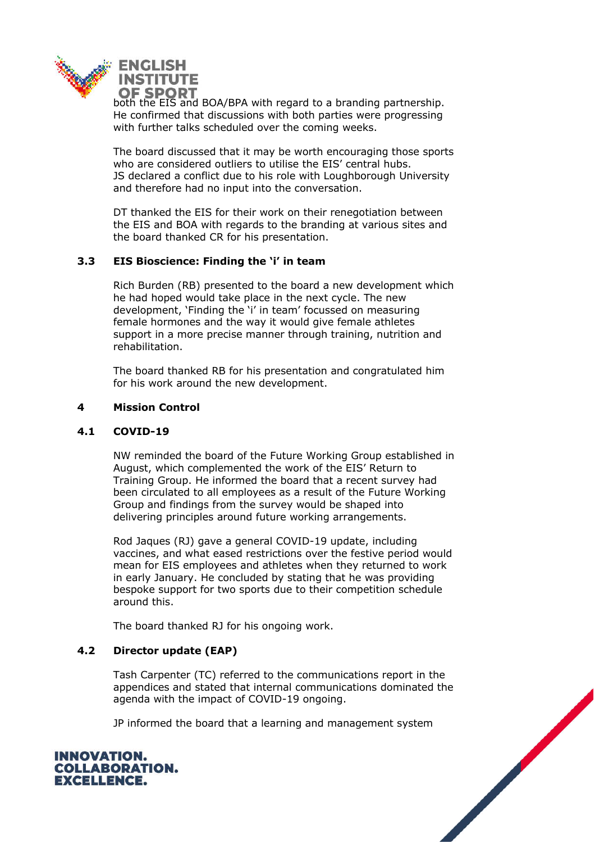

both the EIS and BOA/BPA with regard to a branding partnership. He confirmed that discussions with both parties were progressing with further talks scheduled over the coming weeks.

The board discussed that it may be worth encouraging those sports who are considered outliers to utilise the EIS' central hubs. JS declared a conflict due to his role with Loughborough University and therefore had no input into the conversation.

DT thanked the EIS for their work on their renegotiation between the EIS and BOA with regards to the branding at various sites and the board thanked CR for his presentation.

## **3.3 EIS Bioscience: Finding the 'i' in team**

Rich Burden (RB) presented to the board a new development which he had hoped would take place in the next cycle. The new development, 'Finding the 'i' in team' focussed on measuring female hormones and the way it would give female athletes support in a more precise manner through training, nutrition and rehabilitation.

The board thanked RB for his presentation and congratulated him for his work around the new development.

## **4 Mission Control**

#### **4.1 COVID-19**

NW reminded the board of the Future Working Group established in August, which complemented the work of the EIS' Return to Training Group. He informed the board that a recent survey had been circulated to all employees as a result of the Future Working Group and findings from the survey would be shaped into delivering principles around future working arrangements.

Rod Jaques (RJ) gave a general COVID-19 update, including vaccines, and what eased restrictions over the festive period would mean for EIS employees and athletes when they returned to work in early January. He concluded by stating that he was providing bespoke support for two sports due to their competition schedule around this.

The board thanked RJ for his ongoing work.

# **4.2 Director update (EAP)**

Tash Carpenter (TC) referred to the communications report in the appendices and stated that internal communications dominated the agenda with the impact of COVID-19 ongoing.

JP informed the board that a learning and management system



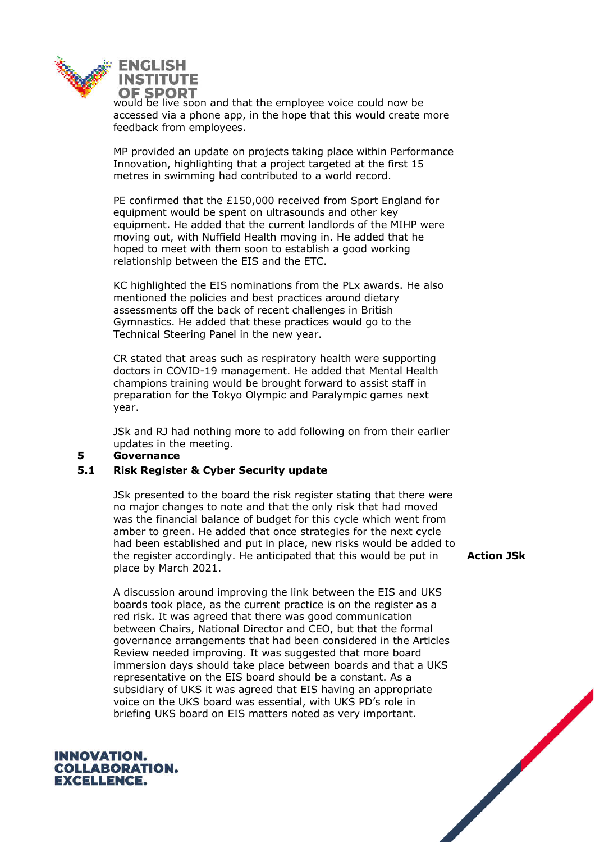

would be live soon and that the employee voice could now be accessed via a phone app, in the hope that this would create more feedback from employees.

MP provided an update on projects taking place within Performance Innovation, highlighting that a project targeted at the first 15 metres in swimming had contributed to a world record.

PE confirmed that the £150,000 received from Sport England for equipment would be spent on ultrasounds and other key equipment. He added that the current landlords of the MIHP were moving out, with Nuffield Health moving in. He added that he hoped to meet with them soon to establish a good working relationship between the EIS and the ETC.

KC highlighted the EIS nominations from the PLx awards. He also mentioned the policies and best practices around dietary assessments off the back of recent challenges in British Gymnastics. He added that these practices would go to the Technical Steering Panel in the new year.

CR stated that areas such as respiratory health were supporting doctors in COVID-19 management. He added that Mental Health champions training would be brought forward to assist staff in preparation for the Tokyo Olympic and Paralympic games next year.

JSk and RJ had nothing more to add following on from their earlier updates in the meeting.

#### **5 Governance**

#### **5.1 Risk Register & Cyber Security update**

JSk presented to the board the risk register stating that there were no major changes to note and that the only risk that had moved was the financial balance of budget for this cycle which went from amber to green. He added that once strategies for the next cycle had been established and put in place, new risks would be added to the register accordingly. He anticipated that this would be put in place by March 2021.

A discussion around improving the link between the EIS and UKS boards took place, as the current practice is on the register as a red risk. It was agreed that there was good communication between Chairs, National Director and CEO, but that the formal governance arrangements that had been considered in the Articles Review needed improving. It was suggested that more board immersion days should take place between boards and that a UKS representative on the EIS board should be a constant. As a subsidiary of UKS it was agreed that EIS having an appropriate voice on the UKS board was essential, with UKS PD's role in briefing UKS board on EIS matters noted as very important.



**Action JSk**